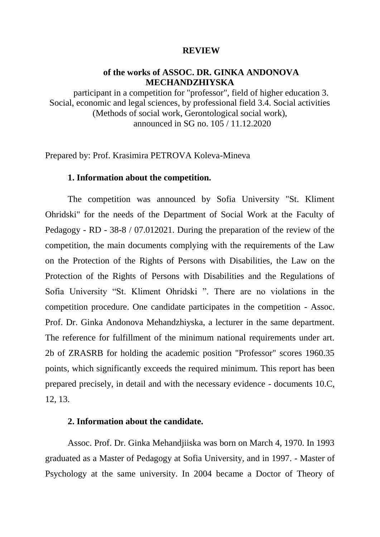### **REVIEW**

## **of the works of ASSOC. DR. GINKA ANDONOVA MECHANDZHIYSKA**

participant in a competition for "professor", field of higher education 3. Social, economic and legal sciences, by professional field 3.4. Social activities (Methods of social work, Gerontological social work), announced in SG no. 105 / 11.12.2020

Prepared by: Prof. Krasimira PETROVA Koleva-Mineva

### **1. Information about the competition.**

The competition was announced by Sofia University "St. Kliment Ohridski" for the needs of the Department of Social Work at the Faculty of Pedagogy - RD - 38-8 / 07.012021. During the preparation of the review of the competition, the main documents complying with the requirements of the Law on the Protection of the Rights of Persons with Disabilities, the Law on the Protection of the Rights of Persons with Disabilities and the Regulations of Sofia University "St. Kliment Ohridski ". There are no violations in the competition procedure. One candidate participates in the competition - Assoc. Prof. Dr. Ginka Andonova Mehandzhiyska, a lecturer in the same department. The reference for fulfillment of the minimum national requirements under art. 2b of ZRASRB for holding the academic position "Professor" scores 1960.35 points, which significantly exceeds the required minimum. This report has been prepared precisely, in detail and with the necessary evidence - documents 10.C, 12, 13.

### **2. Information about the candidate.**

Assoc. Prof. Dr. Ginka Mehandjiiska was born on March 4, 1970. In 1993 graduated as a Master of Pedagogy at Sofia University, and in 1997. - Master of Psychology at the same university. In 2004 became a Doctor of Theory of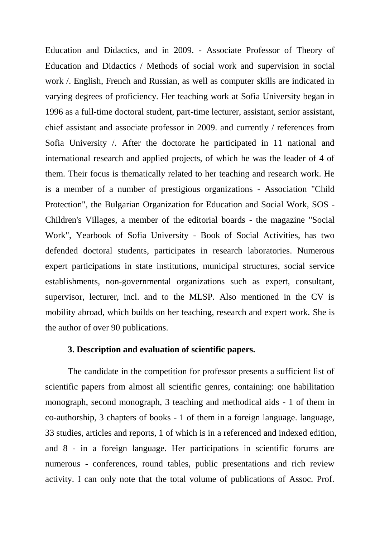Education and Didactics, and in 2009. - Associate Professor of Theory of Education and Didactics / Methods of social work and supervision in social work /. English, French and Russian, as well as computer skills are indicated in varying degrees of proficiency. Her teaching work at Sofia University began in 1996 as a full-time doctoral student, part-time lecturer, assistant, senior assistant, chief assistant and associate professor in 2009. and currently / references from Sofia University /. After the doctorate he participated in 11 national and international research and applied projects, of which he was the leader of 4 of them. Their focus is thematically related to her teaching and research work. He is a member of a number of prestigious organizations - Association "Child Protection", the Bulgarian Organization for Education and Social Work, SOS - Children's Villages, a member of the editorial boards - the magazine "Social Work", Yearbook of Sofia University - Book of Social Activities, has two defended doctoral students, participates in research laboratories. Numerous expert participations in state institutions, municipal structures, social service establishments, non-governmental organizations such as expert, consultant, supervisor, lecturer, incl. and to the MLSP. Also mentioned in the CV is mobility abroad, which builds on her teaching, research and expert work. She is the author of over 90 publications.

## **3. Description and evaluation of scientific papers.**

The candidate in the competition for professor presents a sufficient list of scientific papers from almost all scientific genres, containing: one habilitation monograph, second monograph, 3 teaching and methodical aids - 1 of them in co-authorship, 3 chapters of books - 1 of them in a foreign language. language, 33 studies, articles and reports, 1 of which is in a referenced and indexed edition, and 8 - in a foreign language. Her participations in scientific forums are numerous - conferences, round tables, public presentations and rich review activity. I can only note that the total volume of publications of Assoc. Prof.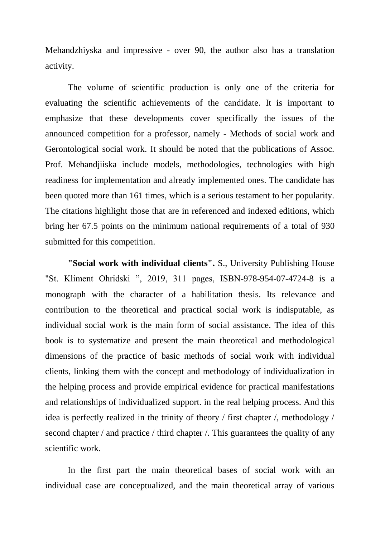Mehandzhiyska and impressive - over 90, the author also has a translation activity.

The volume of scientific production is only one of the criteria for evaluating the scientific achievements of the candidate. It is important to emphasize that these developments cover specifically the issues of the announced competition for a professor, namely - Methods of social work and Gerontological social work. It should be noted that the publications of Assoc. Prof. Mehandjiiska include models, methodologies, technologies with high readiness for implementation and already implemented ones. The candidate has been quoted more than 161 times, which is a serious testament to her popularity. The citations highlight those that are in referenced and indexed editions, which bring her 67.5 points on the minimum national requirements of a total of 930 submitted for this competition.

**"Social work with individual clients".** S., University Publishing House "St. Kliment Ohridski ", 2019, 311 pages, ISBN-978-954-07-4724-8 is a monograph with the character of a habilitation thesis. Its relevance and contribution to the theoretical and practical social work is indisputable, as individual social work is the main form of social assistance. The idea of this book is to systematize and present the main theoretical and methodological dimensions of the practice of basic methods of social work with individual clients, linking them with the concept and methodology of individualization in the helping process and provide empirical evidence for practical manifestations and relationships of individualized support. in the real helping process. And this idea is perfectly realized in the trinity of theory / first chapter /, methodology / second chapter / and practice / third chapter /. This guarantees the quality of any scientific work.

In the first part the main theoretical bases of social work with an individual case are conceptualized, and the main theoretical array of various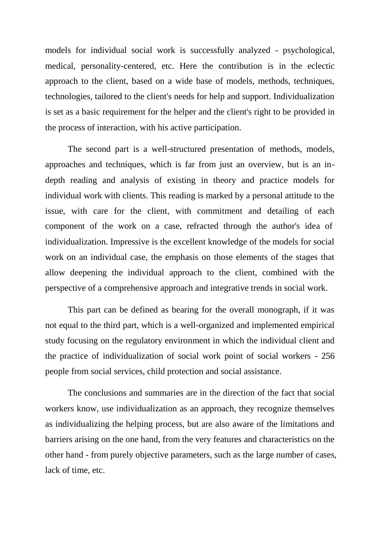models for individual social work is successfully analyzed - psychological, medical, personality-centered, etc. Here the contribution is in the eclectic approach to the client, based on a wide base of models, methods, techniques, technologies, tailored to the client's needs for help and support. Individualization is set as a basic requirement for the helper and the client's right to be provided in the process of interaction, with his active participation.

The second part is a well-structured presentation of methods, models, approaches and techniques, which is far from just an overview, but is an indepth reading and analysis of existing in theory and practice models for individual work with clients. This reading is marked by a personal attitude to the issue, with care for the client, with commitment and detailing of each component of the work on a case, refracted through the author's idea of individualization. Impressive is the excellent knowledge of the models for social work on an individual case, the emphasis on those elements of the stages that allow deepening the individual approach to the client, combined with the perspective of a comprehensive approach and integrative trends in social work.

This part can be defined as bearing for the overall monograph, if it was not equal to the third part, which is a well-organized and implemented empirical study focusing on the regulatory environment in which the individual client and the practice of individualization of social work point of social workers - 256 people from social services, child protection and social assistance.

The conclusions and summaries are in the direction of the fact that social workers know, use individualization as an approach, they recognize themselves as individualizing the helping process, but are also aware of the limitations and barriers arising on the one hand, from the very features and characteristics on the other hand - from purely objective parameters, such as the large number of cases, lack of time, etc.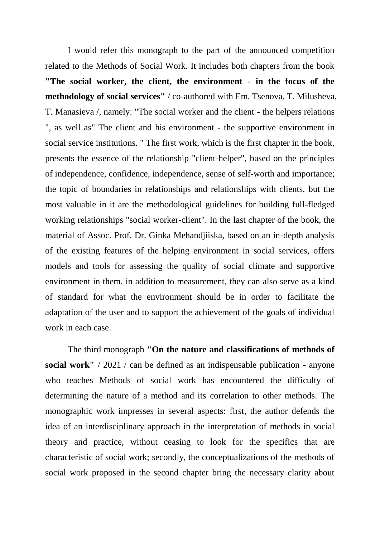I would refer this monograph to the part of the announced competition related to the Methods of Social Work. It includes both chapters from the book **"The social worker, the client, the environment - in the focus of the methodology of social services"** / co-authored with Em. Tsenova, T. Milusheva, T. Manasieva /, namely: "The social worker and the client - the helpers relations ", as well as" The client and his environment - the supportive environment in social service institutions. " The first work, which is the first chapter in the book, presents the essence of the relationship "client-helper", based on the principles of independence, confidence, independence, sense of self-worth and importance; the topic of boundaries in relationships and relationships with clients, but the most valuable in it are the methodological guidelines for building full-fledged working relationships "social worker-client". In the last chapter of the book, the material of Assoc. Prof. Dr. Ginka Mehandjiiska, based on an in-depth analysis of the existing features of the helping environment in social services, offers models and tools for assessing the quality of social climate and supportive environment in them. in addition to measurement, they can also serve as a kind of standard for what the environment should be in order to facilitate the adaptation of the user and to support the achievement of the goals of individual work in each case.

The third monograph **"On the nature and classifications of methods of social work"** / 2021 / can be defined as an indispensable publication - anyone who teaches Methods of social work has encountered the difficulty of determining the nature of a method and its correlation to other methods. The monographic work impresses in several aspects: first, the author defends the idea of an interdisciplinary approach in the interpretation of methods in social theory and practice, without ceasing to look for the specifics that are characteristic of social work; secondly, the conceptualizations of the methods of social work proposed in the second chapter bring the necessary clarity about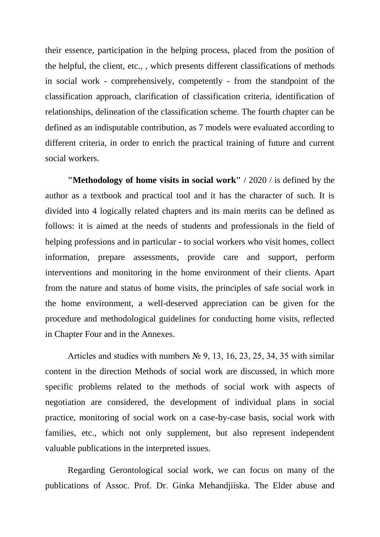their essence, participation in the helping process, placed from the position of the helpful, the client, etc., , which presents different classifications of methods in social work - comprehensively, competently - from the standpoint of the classification approach, clarification of classification criteria, identification of relationships, delineation of the classification scheme. The fourth chapter can be defined as an indisputable contribution, as 7 models were evaluated according to different criteria, in order to enrich the practical training of future and current social workers.

**"Methodology of home visits in social work"** / 2020 / is defined by the author as a textbook and practical tool and it has the character of such. It is divided into 4 logically related chapters and its main merits can be defined as follows: it is aimed at the needs of students and professionals in the field of helping professions and in particular - to social workers who visit homes, collect information, prepare assessments, provide care and support, perform interventions and monitoring in the home environment of their clients. Apart from the nature and status of home visits, the principles of safe social work in the home environment, a well-deserved appreciation can be given for the procedure and methodological guidelines for conducting home visits, reflected in Chapter Four and in the Annexes.

Articles and studies with numbers  $\mathbb{N}^{\circ}$  9, 13, 16, 23, 25, 34, 35 with similar content in the direction Methods of social work are discussed, in which more specific problems related to the methods of social work with aspects of negotiation are considered, the development of individual plans in social practice, monitoring of social work on a case-by-case basis, social work with families, etc., which not only supplement, but also represent independent valuable publications in the interpreted issues.

Regarding Gerontological social work, we can focus on many of the publications of Assoc. Prof. Dr. Ginka Mehandjiiska. The Elder abuse and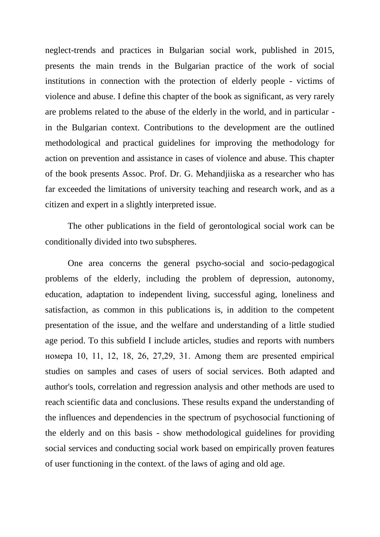neglect-trends and practices in Bulgarian social work, published in 2015, presents the main trends in the Bulgarian practice of the work of social institutions in connection with the protection of elderly people - victims of violence and abuse. I define this chapter of the book as significant, as very rarely are problems related to the abuse of the elderly in the world, and in particular in the Bulgarian context. Contributions to the development are the outlined methodological and practical guidelines for improving the methodology for action on prevention and assistance in cases of violence and abuse. This chapter of the book presents Assoc. Prof. Dr. G. Mehandjiiska as a researcher who has far exceeded the limitations of university teaching and research work, and as a citizen and expert in a slightly interpreted issue.

The other publications in the field of gerontological social work can be conditionally divided into two subspheres.

One area concerns the general psycho-social and socio-pedagogical problems of the elderly, including the problem of depression, autonomy, education, adaptation to independent living, successful aging, loneliness and satisfaction, as common in this publications is, in addition to the competent presentation of the issue, and the welfare and understanding of a little studied age period. To this subfield I include articles, studies and reports with numbers номера 10, 11, 12, 18, 26, 27,29, 31. Among them are presented empirical studies on samples and cases of users of social services. Both adapted and author's tools, correlation and regression analysis and other methods are used to reach scientific data and conclusions. These results expand the understanding of the influences and dependencies in the spectrum of psychosocial functioning of the elderly and on this basis - show methodological guidelines for providing social services and conducting social work based on empirically proven features of user functioning in the context. of the laws of aging and old age.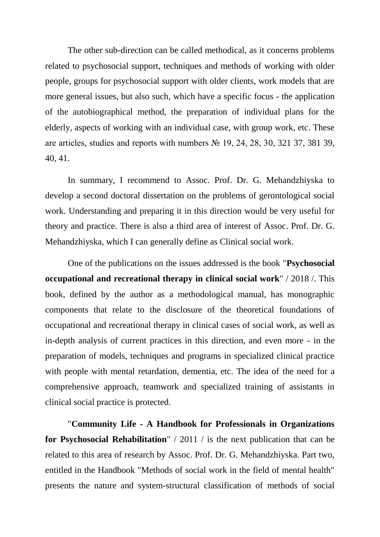The other sub-direction can be called methodical, as it concerns problems related to psychosocial support, techniques and methods of working with older people, groups for psychosocial support with older clients, work models that are more general issues, but also such, which have a specific focus - the application of the autobiographical method, the preparation of individual plans for the elderly, aspects of working with an individual case, with group work, etc. These are articles, studies and reports with numbers № 19, 24, 28, 30, 321 37, 381 39, 40, 41.

In summary, I recommend to Assoc. Prof. Dr. G. Mehandzhiyska to develop a second doctoral dissertation on the problems of gerontological social work. Understanding and preparing it in this direction would be very useful for theory and practice. There is also a third area of interest of Assoc. Prof. Dr. G. Mehandzhiyska, which I can generally define as Clinical social work.

One of the publications on the issues addressed is the book "**Psychosocial occupational and recreational therapy in clinical social work**" / 2018 /. This book, defined by the author as a methodological manual, has monographic components that relate to the disclosure of the theoretical foundations of occupational and recreational therapy in clinical cases of social work, as well as in-depth analysis of current practices in this direction, and even more - in the preparation of models, techniques and programs in specialized clinical practice with people with mental retardation, dementia, etc. The idea of the need for a comprehensive approach, teamwork and specialized training of assistants in clinical social practice is protected.

"**Community Life - A Handbook for Professionals in Organizations for Psychosocial Rehabilitation**" / 2011 / is the next publication that can be related to this area of research by Assoc. Prof. Dr. G. Mehandzhiyska. Part two, entitled in the Handbook "Methods of social work in the field of mental health" presents the nature and system-structural classification of methods of social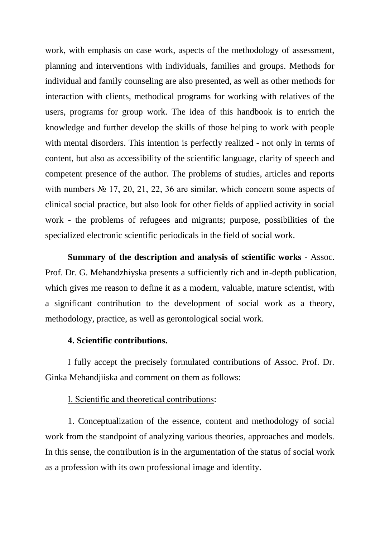work, with emphasis on case work, aspects of the methodology of assessment, planning and interventions with individuals, families and groups. Methods for individual and family counseling are also presented, as well as other methods for interaction with clients, methodical programs for working with relatives of the users, programs for group work. The idea of this handbook is to enrich the knowledge and further develop the skills of those helping to work with people with mental disorders. This intention is perfectly realized - not only in terms of content, but also as accessibility of the scientific language, clarity of speech and competent presence of the author. The problems of studies, articles and reports with numbers  $\mathbb{N}^{\circ}$  17, 20, 21, 22, 36 are similar, which concern some aspects of clinical social practice, but also look for other fields of applied activity in social work - the problems of refugees and migrants; purpose, possibilities of the specialized electronic scientific periodicals in the field of social work.

**Summary of the description and analysis of scientific works** - Assoc. Prof. Dr. G. Mehandzhiyska presents a sufficiently rich and in-depth publication, which gives me reason to define it as a modern, valuable, mature scientist, with a significant contribution to the development of social work as a theory, methodology, practice, as well as gerontological social work.

# **4. Scientific contributions.**

I fully accept the precisely formulated contributions of Assoc. Prof. Dr. Ginka Mehandjiiska and comment on them as follows:

# І. Scientific and theoretical contributions:

1. Conceptualization of the essence, content and methodology of social work from the standpoint of analyzing various theories, approaches and models. In this sense, the contribution is in the argumentation of the status of social work as a profession with its own professional image and identity.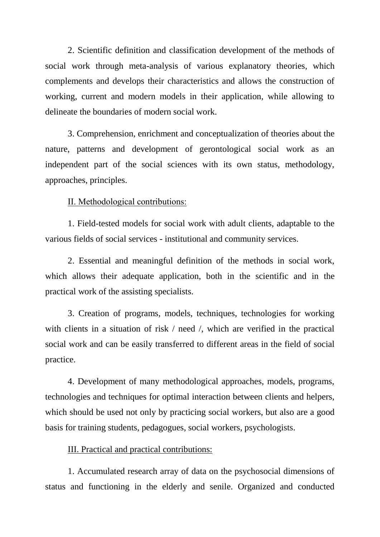2. Scientific definition and classification development of the methods of social work through meta-analysis of various explanatory theories, which complements and develops their characteristics and allows the construction of working, current and modern models in their application, while allowing to delineate the boundaries of modern social work.

3. Comprehension, enrichment and conceptualization of theories about the nature, patterns and development of gerontological social work as an independent part of the social sciences with its own status, methodology, approaches, principles.

## ІІ. Methodological contributions:

1. Field-tested models for social work with adult clients, adaptable to the various fields of social services - institutional and community services.

2. Essential and meaningful definition of the methods in social work, which allows their adequate application, both in the scientific and in the practical work of the assisting specialists.

3. Creation of programs, models, techniques, technologies for working with clients in a situation of risk / need /, which are verified in the practical social work and can be easily transferred to different areas in the field of social practice.

4. Development of many methodological approaches, models, programs, technologies and techniques for optimal interaction between clients and helpers, which should be used not only by practicing social workers, but also are a good basis for training students, pedagogues, social workers, psychologists.

#### III. Practical and practical contributions:

1. Accumulated research array of data on the psychosocial dimensions of status and functioning in the elderly and senile. Organized and conducted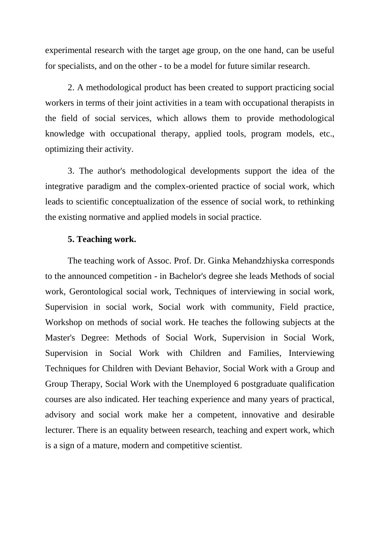experimental research with the target age group, on the one hand, can be useful for specialists, and on the other - to be a model for future similar research.

2. A methodological product has been created to support practicing social workers in terms of their joint activities in a team with occupational therapists in the field of social services, which allows them to provide methodological knowledge with occupational therapy, applied tools, program models, etc., optimizing their activity.

3. The author's methodological developments support the idea of the integrative paradigm and the complex-oriented practice of social work, which leads to scientific conceptualization of the essence of social work, to rethinking the existing normative and applied models in social practice.

# **5. Teaching work.**

The teaching work of Assoc. Prof. Dr. Ginka Mehandzhiyska corresponds to the announced competition - in Bachelor's degree she leads Methods of social work, Gerontological social work, Techniques of interviewing in social work, Supervision in social work, Social work with community, Field practice, Workshop on methods of social work. He teaches the following subjects at the Master's Degree: Methods of Social Work, Supervision in Social Work, Supervision in Social Work with Children and Families, Interviewing Techniques for Children with Deviant Behavior, Social Work with a Group and Group Therapy, Social Work with the Unemployed 6 postgraduate qualification courses are also indicated. Her teaching experience and many years of practical, advisory and social work make her a competent, innovative and desirable lecturer. There is an equality between research, teaching and expert work, which is a sign of a mature, modern and competitive scientist.